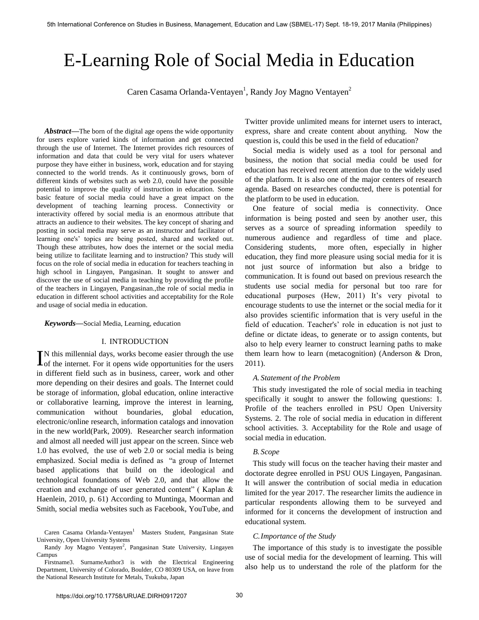# E-Learning Role of Social Media in Education

Caren Casama Orlanda-Ventayen<sup>1</sup>, Randy Joy Magno Ventayen<sup>2</sup>

*Abstract***—**The born of the digital age opens the wide opportunity for users explore varied kinds of information and get connected through the use of Internet. The Internet provides rich resources of information and data that could be very vital for users whatever purpose they have either in business, work, education and for staying connected to the world trends. As it continuously grows, born of different kinds of websites such as web 2.0, could have the possible potential to improve the quality of instruction in education. Some basic feature of social media could have a great impact on the development of teaching learning process. Connectivity or interactivity offered by social media is an enormous attribute that attracts an audience to their websites. The key concept of sharing and posting in social media may serve as an instructor and facilitator of learning one's' topics are being posted, shared and worked out. Though these attributes, how does the internet or the social media being utilize to facilitate learning and to instruction? This study will focus on the role of social media in education for teachers teaching in high school in Lingayen, Pangasinan. It sought to answer and discover the use of social media in teaching by providing the profile of the teachers in Lingayen, Pangasinan.,the role of social media in education in different school activities and acceptability for the Role and usage of social media in education.

#### *Keywords***—**Social Media, Learning, education

#### I. INTRODUCTION

N this millennial days, works become easier through the use  $\sum$  IN this millennial days, works become easier through the users of the internet. For it opens wide opportunities for the users in different field such as in business, career, work and other more depending on their desires and goals. The Internet could be storage of information, global education, online interactive or collaborative learning, improve the interest in learning, communication without boundaries, global education, electronic/online research, information catalogs and innovation in the new world(Park, 2009). Researcher search information and almost all needed will just appear on the screen. Since web 1.0 has evolved, the use of web 2.0 or social media is being emphasized. Social media is defined as "a group of Internet based applications that build on the ideological and technological foundations of Web 2.0, and that allow the creation and exchange of user generated content" ( Kaplan & Haenlein, 2010, p. 61) According to Muntinga, Moorman and Smith, social media websites such as Facebook, YouTube, and

Twitter provide unlimited means for internet users to interact, express, share and create content about anything. Now the question is, could this be used in the field of education?

Social media is widely used as a tool for personal and business, the notion that social media could be used for education has received recent attention due to the widely used of the platform. It is also one of the major centers of research agenda. Based on researches conducted, there is potential for the platform to be used in education.

One feature of social media is connectivity. Once information is being posted and seen by another user, this serves as a source of spreading information speedily to numerous audience and regardless of time and place. Considering students, more often, especially in higher education, they find more pleasure using social media for it is not just source of information but also a bridge to communication. It is found out based on previous research the students use social media for personal but too rare for educational purposes (Hew, 2011) It's very pivotal to encourage students to use the internet or the social media for it also provides scientific information that is very useful in the field of education. Teacher's' role in education is not just to define or dictate ideas, to generate or to assign contents, but also to help every learner to construct learning paths to make them learn how to learn (metacognition) (Anderson & Dron, 2011).

#### *A. Statement of the Problem*

This study investigated the role of social media in teaching specifically it sought to answer the following questions: 1. Profile of the teachers enrolled in PSU Open University Systems. 2. The role of social media in education in different school activities. 3. Acceptability for the Role and usage of social media in education.

## *B. Scope*

This study will focus on the teacher having their master and doctorate degree enrolled in PSU OUS Lingayen, Pangasinan. It will answer the contribution of social media in education limited for the year 2017. The researcher limits the audience in particular respondents allowing them to be surveyed and informed for it concerns the development of instruction and educational system.

## *C.Importance of the Study*

The importance of this study is to investigate the possible use of social media for the development of learning. This will also help us to understand the role of the platform for the

Caren Casama Orlanda-Ventayen<sup>1</sup> Masters Student, Pangasinan State University, Open University Systems

Randy Joy Magno Ventayen<sup>2</sup>, Pangasinan State University, Lingayen Campus

Firstname3. SurnameAuthor3 is with the Electrical Engineering Department, University of Colorado, Boulder, CO 80309 USA, on leave from the National Research Institute for Metals, Tsukuba, Japan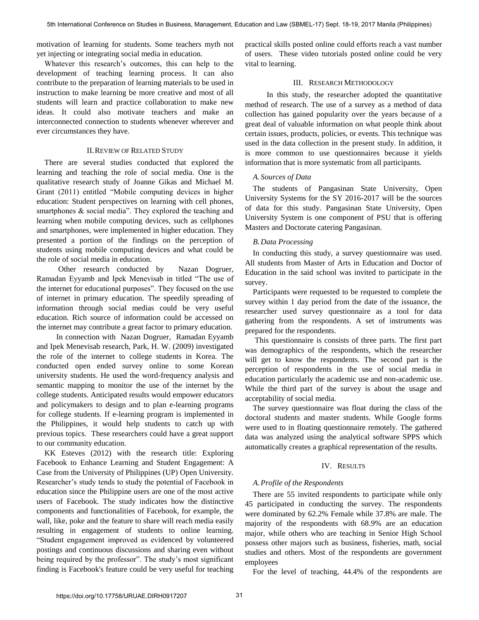motivation of learning for students. Some teachers myth not yet injecting or integrating social media in education.

Whatever this research's outcomes, this can help to the development of teaching learning process. It can also contribute to the preparation of learning materials to be used in instruction to make learning be more creative and most of all students will learn and practice collaboration to make new ideas. It could also motivate teachers and make an interconnected connection to students whenever wherever and ever circumstances they have.

## II.REVIEW OF RELATED STUDY

There are several studies conducted that explored the learning and teaching the role of social media. One is the qualitative research study of Joanne Gikas and Michael M. Grant (2011) entitled "Mobile computing devices in higher education: Student perspectives on learning with cell phones, smartphones & social media". They explored the teaching and learning when mobile computing devices, such as cellphones and smartphones, were implemented in higher education. They presented a portion of the findings on the perception of students using mobile computing devices and what could be the role of social media in education.

 Other research conducted by Nazan Dogruer, Ramadan Eyyamb and Ipek Menevisab in titled "The use of the internet for educational purposes". They focused on the use of internet in primary education. The speedily spreading of information through social medias could be very useful education. Rich source of information could be accessed on the internet may contribute a great factor to primary education.

 In connection with Nazan Dogruer, Ramadan Eyyamb and Ipek Menevisab research, Park, H. W. (2009) investigated the role of the internet to college students in Korea. The conducted open ended survey online to some Korean university students. He used the word-frequency analysis and semantic mapping to monitor the use of the internet by the college students. Anticipated results would empower educators and policymakers to design and to plan e-learning programs for college students. If e-learning program is implemented in the Philippines, it would help students to catch up with previous topics. These researchers could have a great support to our community education.

KK Esteves (2012) with the research title: Exploring Facebook to Enhance Learning and Student Engagement: A Case from the University of Philippines (UP) Open University. Researcher's study tends to study the potential of Facebook in education since the Philippine users are one of the most active users of Facebook. The study indicates how the distinctive components and functionalities of Facebook, for example, the wall, like, poke and the feature to share will reach media easily resulting in engagement of students to online learning. "Student engagement improved as evidenced by volunteered postings and continuous discussions and sharing even without being required by the professor". The study's most significant finding is Facebook's feature could be very useful for teaching

practical skills posted online could efforts reach a vast number of users. These video tutorials posted online could be very vital to learning.

## III. RESEARCH METHODOLOGY

 In this study, the researcher adopted the quantitative method of research. The use of a survey as a method of data collection has gained popularity over the years because of a great deal of valuable information on what people think about certain issues, products, policies, or events. This technique was used in the data collection in the present study. In addition, it is more common to use questionnaires because it yields information that is more systematic from all participants.

#### *A. Sources of Data*

The students of Pangasinan State University, Open University Systems for the SY 2016-2017 will be the sources of data for this study. Pangasinan State University, Open University System is one component of PSU that is offering Masters and Doctorate catering Pangasinan.

## *B.Data Processing*

In conducting this study, a survey questionnaire was used. All students from Master of Arts in Education and Doctor of Education in the said school was invited to participate in the survey.

Participants were requested to be requested to complete the survey within 1 day period from the date of the issuance, the researcher used survey questionnaire as a tool for data gathering from the respondents. A set of instruments was prepared for the respondents.

 This questionnaire is consists of three parts. The first part was demographics of the respondents, which the researcher will get to know the respondents. The second part is the perception of respondents in the use of social media in education particularly the academic use and non-academic use. While the third part of the survey is about the usage and acceptability of social media.

The survey questionnaire was float during the class of the doctoral students and master students. While Google forms were used to in floating questionnaire remotely. The gathered data was analyzed using the analytical software SPPS which automatically creates a graphical representation of the results.

## IV. RESULTS

## *A.Profile of the Respondents*

There are 55 invited respondents to participate while only 45 participated in conducting the survey. The respondents were dominated by 62.2% Female while 37.8% are male. The majority of the respondents with 68.9% are an education major, while others who are teaching in Senior High School possess other majors such as business, fisheries, math, social studies and others. Most of the respondents are government employees

For the level of teaching, 44.4% of the respondents are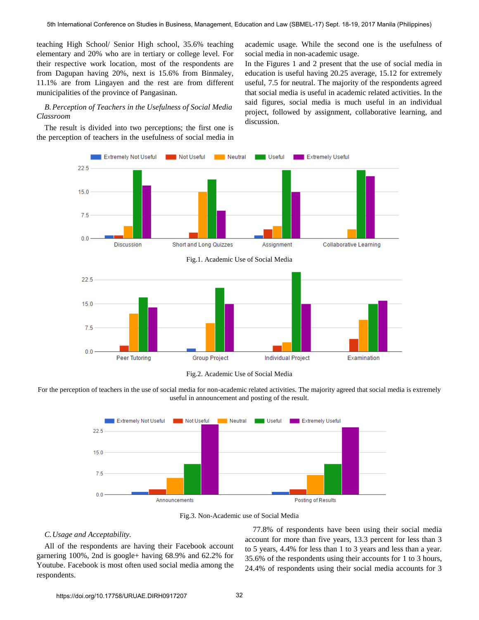teaching High School/ Senior High school, 35.6% teaching elementary and 20% who are in tertiary or college level. For their respective work location, most of the respondents are from Dagupan having 20%, next is 15.6% from Binmaley, 11.1% are from Lingayen and the rest are from different municipalities of the province of Pangasinan.

## *B.Perception of Teachers in the Usefulness of Social Media Classroom*

The result is divided into two perceptions; the first one is the perception of teachers in the usefulness of social media in academic usage. While the second one is the usefulness of social media in non-academic usage.

In the Figures 1 and 2 present that the use of social media in education is useful having 20.25 average, 15.12 for extremely useful, 7.5 for neutral. The majority of the respondents agreed that social media is useful in academic related activities. In the said figures, social media is much useful in an individual project, followed by assignment, collaborative learning, and discussion.





For the perception of teachers in the use of social media for non-academic related activities. The majority agreed that social media is extremely useful in announcement and posting of the result.



Fig.3. Non-Academic use of Social Media

#### *C.Usage and Acceptability.*

All of the respondents are having their Facebook account garnering 100%, 2nd is google+ having 68.9% and 62.2% for Youtube. Facebook is most often used social media among the respondents.

77.8% of respondents have been using their social media account for more than five years, 13.3 percent for less than 3 to 5 years, 4.4% for less than 1 to 3 years and less than a year. 35.6% of the respondents using their accounts for 1 to 3 hours, 24.4% of respondents using their social media accounts for 3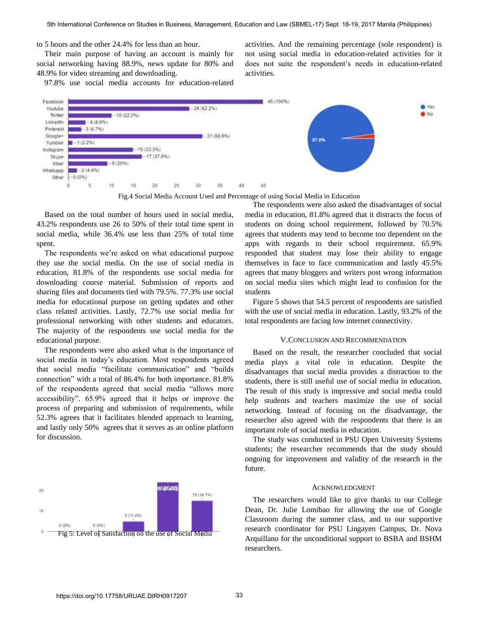to 5 hours and the other 24.4% for less than an hour.

Their main purpose of having an account is mainly for social networking having 88.9%, news update for 80% and 48.9% for video streaming and downloading.

97.8% use social media accounts for education-related

activities. And the remaining percentage (sole respondent) is not using social media in education-related activities for it does not suite the respondent's needs in education-related activities.



Fig.4 Social Media Account Used and Percentage of using Social Media in Education

Based on the total number of hours used in social media, 43.2% respondents use 26 to 50% of their total time spent in social media, while 36.4% use less than 25% of total time spent.

The respondents we're asked on what educational purpose they use the social media. On the use of social media in education, 81.8% of the respondents use social media for downloading course material. Submission of reports and sharing files and documents tied with 79.5%. 77.3% use social media for educational purpose on getting updates and other class related activities. Lastly, 72.7% use social media for professional networking with other students and educators. The majority of the respondents use social media for the educational purpose.

The respondents were also asked what is the importance of social media in today's education. Most respondents agreed that social media "facilitate communication" and "builds connection" with a total of 86.4% for both importance. 81.8% of the respondents agreed that social media "allows more accessibility". 65.9% agreed that it helps or improve the process of preparing and submission of requirements, while 52.3% agrees that it facilitates blended approach to learning, and lastly only 50% agrees that it serves as an online platform for discussion.



The respondents were also asked the disadvantages of social media in education, 81.8% agreed that it distracts the focus of students on doing school requirement, followed by 70.5% agrees that students may tend to become too dependent on the apps with regards to their school requirement. 65.9% responded that student may lose their ability to engage themselves in face to face communication and lastly 45.5% agrees that many bloggers and writers post wrong information on social media sites which might lead to confusion for the students

Figure 5 shows that 54.5 percent of respondents are satisfied with the use of social media in education. Lastly, 93.2% of the total respondents are facing low internet connectivity.

#### V.CONCLUSION AND RECOMMENDATION

Based on the result, the researcher concluded that social media plays a vital role in education. Despite the disadvantages that social media provides a distraction to the students, there is still useful use of social media in education. The result of this study is impressive and social media could help students and teachers maximize the use of social networking. Instead of focusing on the disadvantage, the researcher also agreed with the respondents that there is an important role of social media in education.

The study was conducted in PSU Open University Systems students; the researcher recommends that the study should ongoing for improvement and validity of the research in the future.

## ACKNOWLEDGMENT

The researchers would like to give thanks to our College Dean, Dr. Julie Lomibao for allowing the use of Google Classroom during the summer class, and to our supportive research coordinator for PSU Lingayen Campus, Dr. Nova Arquillano for the unconditional support to BSBA and BSHM researchers.